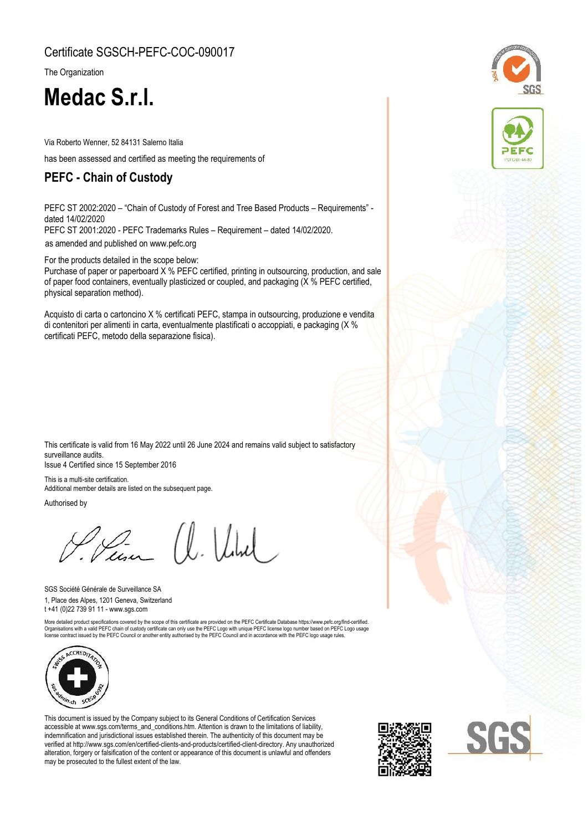#### Certificate SGSCH-PEFC-COC-090017

The Organization

# **Medac S.r.l.**

Via Roberto Wenner, 52 84131 Salerno Italia

has been assessed and certified as meeting the requirements of

## **PEFC - Chain of Custody**

PEFC ST 2002:2020 – "Chain of Custody of Forest and Tree Based Products – Requirements" dated 14/02/2020

PEFC ST 2001:2020 - PEFC Trademarks Rules – Requirement – dated 14/02/2020.

[as amended and published on www.pefc.org](%20www.pefc.org)

For the products detailed in the scope below:

Purchase of paper or paperboard X % PEFC certified, printing in outsourcing, production, and sale of paper food containers, eventually plasticized or coupled, and packaging (X % PEFC certified, physical separation method).

Acquisto di carta o cartoncino X % certificati PEFC, stampa in outsourcing, produzione e vendita di contenitori per alimenti in carta, eventualmente plastificati o accoppiati, e packaging (X % certificati PEFC, metodo della separazione fisica).

This certificate is valid from 16 May 2022 until 26 June 2024 and remains valid subject to satisfactory surveillance audits. Issue 4 Certified since 15 September 2016

This is a multi-site certification. Additional member details are listed on the subsequent page.

Authorised by

Vein a. Ville

1, Place des Alpes, 1201 Geneva, Switzerland SGS Société Générale de Surveillance SA t +41 (0)22 739 91 11 - www.sgs.com

More detailed product specifications covered by the scope of this certificate are provided on the PEFC Certificate Database https://www.pefc.org/find-certified.<br>Organisations with a vaild PEFC chain of custody certificate



This document is issued by the Company subject to its General Conditions of Certification Services accessible at www.sgs.com/terms\_and\_conditions.htm. Attention is drawn to the limitations of liability, indemnification and jurisdictional issues established therein. The authenticity of this document may be verified at http://www.sgs.com/en/certified-clients-and-products/certified-client-directory. Any unauthorized alteration, forgery or falsification of the content or appearance of this document is unlawful and offenders may be prosecuted to the fullest extent of the law.